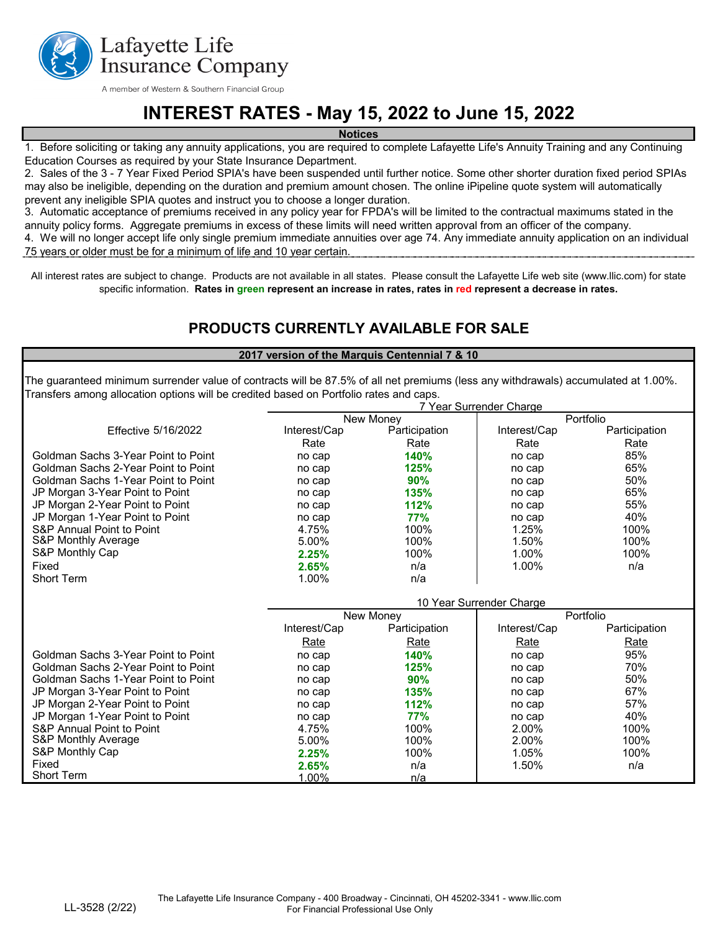

A member of Western & Southern Financial Group

# **INTEREST RATES - May 15, 2022 to June 15, 2022**

**Notices**

1. Before soliciting or taking any annuity applications, you are required to complete Lafayette Life's Annuity Training and any Continuing Education Courses as required by your State Insurance Department.

2. Sales of the 3 - 7 Year Fixed Period SPIA's have been suspended until further notice. Some other shorter duration fixed period SPIAs may also be ineligible, depending on the duration and premium amount chosen. The online iPipeline quote system will automatically prevent any ineligible SPIA quotes and instruct you to choose a longer duration.

4. We will no longer accept life only single premium immediate annuities over age 74. Any immediate annuity application on an individual 3. Automatic acceptance of premiums received in any policy year for FPDA's will be limited to the contractual maximums stated in the annuity policy forms. Aggregate premiums in excess of these limits will need written approval from an officer of the company.

75 years or older must be for a minimum of life and 10 year certain.

All interest rates are subject to change. Products are not available in all states. Please consult the Lafayette Life web site (www.llic.com) for state specific information. **Rates in green represent an increase in rates, rates in red represent a decrease in rates.** 

### **PRODUCTS CURRENTLY AVAILABLE FOR SALE**

#### **2017 version of the Marquis Centennial 7 & 10**

The guaranteed minimum surrender value of contracts will be 87.5% of all net premiums (less any withdrawals) accumulated at 1.00%. Transfers among allocation options will be credited based on Portfolio rates and caps. 7 Year Surrender Charge

|                                            |                          |                  | <i>i</i> Teal Oullelluci Ullalyc |               |  |
|--------------------------------------------|--------------------------|------------------|----------------------------------|---------------|--|
|                                            |                          | <b>New Money</b> |                                  | Portfolio     |  |
| <b>Effective 5/16/2022</b>                 | Interest/Cap             | Participation    | Interest/Cap                     | Participation |  |
|                                            | Rate                     | Rate             | Rate                             | Rate          |  |
| Goldman Sachs 3-Year Point to Point        | no cap                   | 140%             | no cap                           | 85%           |  |
| Goldman Sachs 2-Year Point to Point        | no cap                   | 125%             | no cap                           | 65%           |  |
| <b>Goldman Sachs 1-Year Point to Point</b> | no cap                   | 90%              | no cap                           | 50%           |  |
| JP Morgan 3-Year Point to Point            | no cap                   | 135%             | no cap                           | 65%           |  |
| JP Morgan 2-Year Point to Point            | no cap                   | 112%             | no cap                           | 55%           |  |
| JP Morgan 1-Year Point to Point            | no cap                   | <b>77%</b>       | no cap                           | 40%           |  |
| <b>S&amp;P Annual Point to Point</b>       | 4.75%                    | 100%             | 1.25%                            | 100%          |  |
| <b>S&amp;P Monthly Average</b>             | 5.00%                    | 100%             | 1.50%                            | 100%          |  |
| S&P Monthly Cap                            | 2.25%                    | 100%             | 1.00%                            | 100%          |  |
| Fixed                                      | 2.65%                    | n/a              | 1.00%                            | n/a           |  |
| <b>Short Term</b>                          | 1.00%                    | n/a              |                                  |               |  |
|                                            |                          |                  |                                  |               |  |
|                                            | 10 Year Surrender Charge |                  |                                  |               |  |
|                                            | New Money                |                  | Portfolio                        |               |  |
|                                            | Interest/Cap             | Participation    | Interest/Cap                     | Participation |  |
|                                            | <b>Rate</b>              | Rate             | Rate                             | Rate          |  |
| Goldman Sachs 3-Year Point to Point        | no cap                   | 140%             | no cap                           | 95%           |  |
| <b>Goldman Sachs 2-Year Point to Point</b> | no cap                   | 125%             | no cap                           | 70%           |  |
| <b>Goldman Sachs 1-Year Point to Point</b> | no cap                   | 90%              | no cap                           | 50%           |  |
| JP Morgan 3-Year Point to Point            | no cap                   | 135%             | no cap                           | 67%           |  |
| JP Morgan 2-Year Point to Point            | no cap                   | 112%             | no cap                           | 57%           |  |
| JP Morgan 1-Year Point to Point            | no cap                   | 77%              | no cap                           | 40%           |  |
| <b>S&amp;P Annual Point to Point</b>       | 4.75%                    | 100%             | 2.00%                            | 100%          |  |
| <b>S&amp;P Monthly Average</b>             | 5.00%                    | 100%             | 2.00%                            | 100%          |  |
| S&P Monthly Cap                            | 2.25%                    | 100%             | 1.05%                            | 100%          |  |
| Fixed                                      | 2.65%                    | n/a              | 1.50%                            | n/a           |  |
| <b>Short Term</b>                          | 1.00%                    | n/a              |                                  |               |  |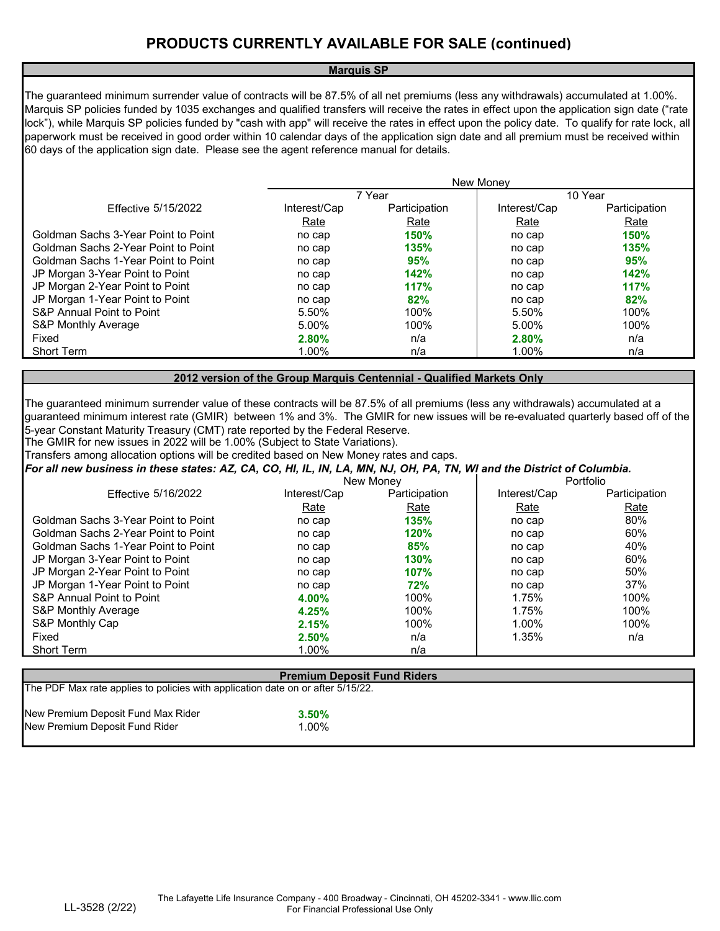#### **Marquis SP**

The guaranteed minimum surrender value of contracts will be 87.5% of all net premiums (less any withdrawals) accumulated at 1.00%. Marquis SP policies funded by 1035 exchanges and qualified transfers will receive the rates in effect upon the application sign date ("rate lock"), while Marquis SP policies funded by "cash with app" will receive the rates in effect upon the policy date. To qualify for rate lock, all paperwork must be received in good order within 10 calendar days of the application sign date and all premium must be received within 60 days of the application sign date. Please see the agent reference manual for details.

|                                            | <b>New Money</b> |               |              |               |  |
|--------------------------------------------|------------------|---------------|--------------|---------------|--|
|                                            |                  | 7 Year        |              | 10 Year       |  |
| <b>Effective 5/15/2022</b>                 | Interest/Cap     | Participation | Interest/Cap | Participation |  |
|                                            | Rate             | Rate          | Rate         | Rate          |  |
| Goldman Sachs 3-Year Point to Point        | no cap           | <b>150%</b>   | no cap       | <b>150%</b>   |  |
| <b>Goldman Sachs 2-Year Point to Point</b> | no cap           | 135%          | no cap       | 135%          |  |
| Goldman Sachs 1-Year Point to Point        | no cap           | 95%           | no cap       | 95%           |  |
| JP Morgan 3-Year Point to Point            | no cap           | 142%          | no cap       | 142%          |  |
| JP Morgan 2-Year Point to Point            | no cap           | 117%          | no cap       | 117%          |  |
| JP Morgan 1-Year Point to Point            | no cap           | 82%           | no cap       | 82%           |  |
| S&P Annual Point to Point                  | 5.50%            | 100%          | 5.50%        | 100%          |  |
| <b>S&amp;P Monthly Average</b>             | 5.00%            | 100%          | 5.00%        | 100%          |  |
| Fixed                                      | 2.80%            | n/a           | 2.80%        | n/a           |  |
| <b>Short Term</b>                          | 1.00%            | n/a           | 1.00%        | n/a           |  |

**2012 version of the Group Marquis Centennial - Qualified Markets Only**

The guaranteed minimum surrender value of these contracts will be 87.5% of all premiums (less any withdrawals) accumulated at a guaranteed minimum interest rate (GMIR) between 1% and 3%. The GMIR for new issues will be re-evaluated quarterly based off of the 5-year Constant Maturity Treasury (CMT) rate reported by the Federal Reserve.

The GMIR for new issues in 2022 will be 1.00% (Subject to State Variations).

Transfers among allocation options will be credited based on New Money rates and caps.

*For all new business in these states: AZ, CA, CO, HI, IL, IN, LA, MN, NJ, OH, PA, TN, WI and the District of Columbia.*

|                                      | New Money    |               |              | Portfolio     |  |
|--------------------------------------|--------------|---------------|--------------|---------------|--|
| <b>Effective 5/16/2022</b>           | Interest/Cap | Participation | Interest/Cap | Participation |  |
|                                      | Rate         | Rate          | Rate         | Rate          |  |
| Goldman Sachs 3-Year Point to Point  | no cap       | 135%          | no cap       | 80%           |  |
| Goldman Sachs 2-Year Point to Point  | no cap       | 120%          | no cap       | 60%           |  |
| Goldman Sachs 1-Year Point to Point  | no cap       | 85%           | no cap       | 40%           |  |
| JP Morgan 3-Year Point to Point      | no cap       | 130%          | no cap       | 60%           |  |
| JP Morgan 2-Year Point to Point      | no cap       | <b>107%</b>   | no cap       | 50%           |  |
| JP Morgan 1-Year Point to Point      | no cap       | 72%           | no cap       | 37%           |  |
| <b>S&amp;P Annual Point to Point</b> | 4.00%        | 100%          | 1.75%        | 100%          |  |
| S&P Monthly Average                  | 4.25%        | 100%          | 1.75%        | 100%          |  |
| S&P Monthly Cap                      | 2.15%        | 100%          | 1.00%        | 100%          |  |
| Fixed                                | 2.50%        | n/a           | 1.35%        | n/a           |  |
| <b>Short Term</b>                    | 1.00%        | n/a           |              |               |  |
|                                      |              |               |              |               |  |

| <b>Premium Deposit Fund Riders</b>                                              |                    |  |  |  |
|---------------------------------------------------------------------------------|--------------------|--|--|--|
| The PDF Max rate applies to policies with application date on or after 5/15/22. |                    |  |  |  |
| New Premium Deposit Fund Max Rider<br>New Premium Deposit Fund Rider            | $3.50\%$<br>$00\%$ |  |  |  |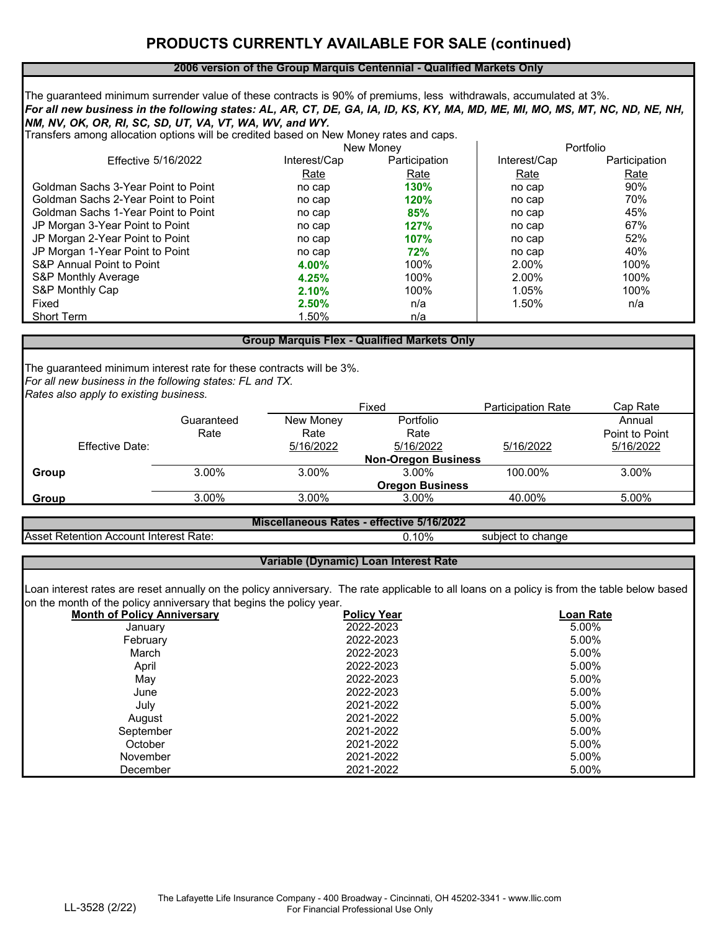### **PRODUCTS CURRENTLY AVAILABLE FOR SALE (continued)**

#### **2006 version of the Group Marquis Centennial - Qualified Markets Only**

*For all new business in the following states: AL, AR, CT, DE, GA, IA, ID, KS, KY, MA, MD, ME, MI, MO, MS, MT, NC, ND, NE, NH, NM, NV, OK, OR, RI, SC, SD, UT, VA, VT, WA, WV, and WY.* The guaranteed minimum surrender value of these contracts is 90% of premiums, less withdrawals, accumulated at 3%.

Transfers among allocation options will be credited based on New Money rates and caps.

|                                      | <b>New Money</b> |               |              | Portfolio     |  |
|--------------------------------------|------------------|---------------|--------------|---------------|--|
| <b>Effective 5/16/2022</b>           | Interest/Cap     | Participation | Interest/Cap | Participation |  |
|                                      | <b>Rate</b>      | <b>Rate</b>   | <b>Rate</b>  | <u>Rate</u>   |  |
| Goldman Sachs 3-Year Point to Point  | no cap           | 130%          | no cap       | 90%           |  |
| Goldman Sachs 2-Year Point to Point  | no cap           | 120%          | no cap       | 70%           |  |
| Goldman Sachs 1-Year Point to Point  | no cap           | 85%           | no cap       | 45%           |  |
| JP Morgan 3-Year Point to Point      | no cap           | 127%          | no cap       | 67%           |  |
| JP Morgan 2-Year Point to Point      | no cap           | 107%          | no cap       | 52%           |  |
| JP Morgan 1-Year Point to Point      | no cap           | 72%           | no cap       | 40%           |  |
| <b>S&amp;P Annual Point to Point</b> | 4.00%            | 100%          | 2.00%        | 100%          |  |
| <b>S&amp;P Monthly Average</b>       | 4.25%            | 100%          | 2.00%        | 100%          |  |
| S&P Monthly Cap                      | 2.10%            | 100%          | 1.05%        | 100%          |  |
| Fixed                                | 2.50%            | n/a           | 1.50%        | n/a           |  |
| <b>Short Term</b>                    | 1.50%            | n/a           |              |               |  |

#### **Group Marquis Flex - Qualified Markets Only**

*For all new business in the following states: FL and TX.* The guaranteed minimum interest rate for these contracts will be 3%. *Rates also apply to existing business.*

| .<br>້                 |            | Fixed                      |                        | <b>Participation Rate</b> | Cap Rate       |  |
|------------------------|------------|----------------------------|------------------------|---------------------------|----------------|--|
|                        | Guaranteed | New Money                  | Portfolio              |                           | Annual         |  |
|                        | Rate       | Rate                       | Rate                   |                           | Point to Point |  |
| <b>Effective Date:</b> |            | 5/16/2022                  | 5/16/2022              | 5/16/2022                 | 5/16/2022      |  |
|                        |            | <b>Non-Oregon Business</b> |                        |                           |                |  |
| Group                  | 3.00%      | 3.00%                      | 3.00%                  | 100.00%                   | 3.00%          |  |
|                        |            |                            | <b>Oregon Business</b> |                           |                |  |
| <b>Group</b>           | 3.00%      | 3.00%                      | 3.00%                  | 40.00%                    | 5.00%          |  |

Asset Retention Account Interest Rate: 0.10% subject to change

0.10% **Miscellaneous Rates - effective 5/16/2022**

#### **Variable (Dynamic) Loan Interest Rate**

Loan interest rates are reset annually on the policy anniversary. The rate applicable to all loans on a policy is from the table below based on the month of the policy anniversary that begins the policy year.

| <b>Month of Policy Anniversary</b> | <b>Policy Year</b> | <b>Loan Rate</b> |
|------------------------------------|--------------------|------------------|
| January                            | 2022-2023          | 5.00%            |
| February                           | 2022-2023          | 5.00%            |
| March                              | 2022-2023          | 5.00%            |
| April                              | 2022-2023          | 5.00%            |
| May                                | 2022-2023          | 5.00%            |
| June                               | 2022-2023          | 5.00%            |
| July                               | 2021-2022          | 5.00%            |
| August                             | 2021-2022          | 5.00%            |
| September                          | 2021-2022          | 5.00%            |
| October                            | 2021-2022          | 5.00%            |
| <b>November</b>                    | 2021-2022          | 5.00%            |
| December                           | 2021-2022          | 5.00%            |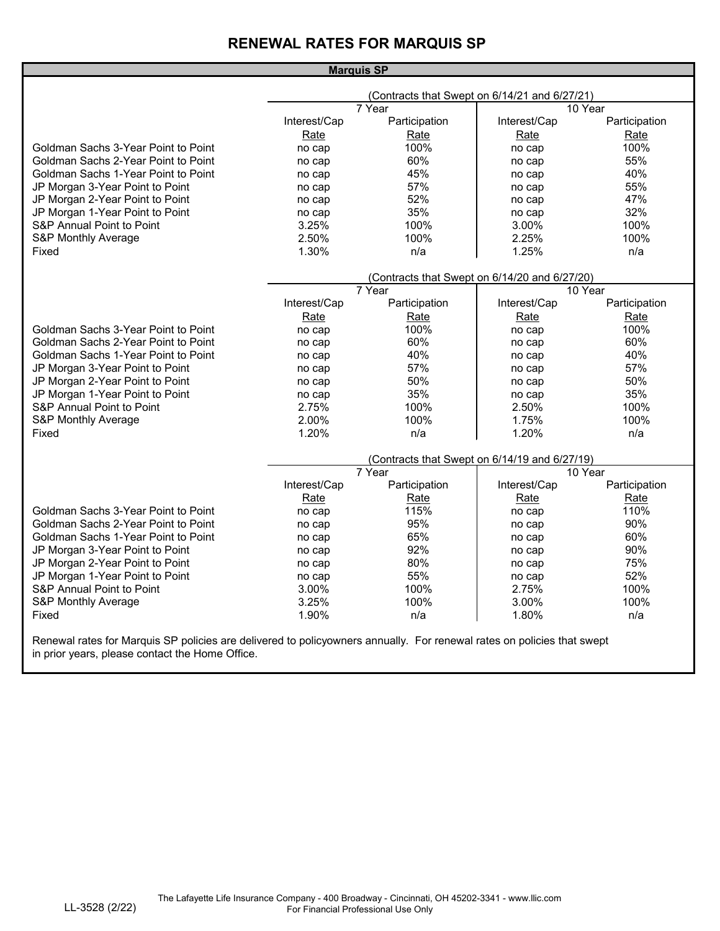## **RENEWAL RATES FOR MARQUIS SP**

|                                               | <b>Marquis SP</b>                             |                                                         |              |               |  |
|-----------------------------------------------|-----------------------------------------------|---------------------------------------------------------|--------------|---------------|--|
| (Contracts that Swept on 6/14/21 and 6/27/21) |                                               |                                                         |              |               |  |
|                                               |                                               | 7 Year                                                  |              | 10 Year       |  |
|                                               | Interest/Cap                                  | Participation                                           | Interest/Cap | Participation |  |
|                                               | <b>Rate</b>                                   | <b>Rate</b>                                             | <b>Rate</b>  | <b>Rate</b>   |  |
| Goldman Sachs 3-Year Point to Point           | no cap                                        | 100%                                                    | no cap       | 100%          |  |
| Goldman Sachs 2-Year Point to Point           | no cap                                        | 60%                                                     | no cap       | 55%           |  |
| <b>Goldman Sachs 1-Year Point to Point</b>    | no cap                                        | 45%                                                     | no cap       | 40%           |  |
| JP Morgan 3-Year Point to Point               | no cap                                        | 57%                                                     | no cap       | 55%           |  |
| JP Morgan 2-Year Point to Point               | no cap                                        | 52%                                                     | no cap       | 47%           |  |
| JP Morgan 1-Year Point to Point               | no cap                                        | 35%                                                     | no cap       | 32%           |  |
| <b>S&amp;P Annual Point to Point</b>          | 3.25%                                         | 100%                                                    | 3.00%        | 100%          |  |
| <b>S&amp;P Monthly Average</b>                | 2.50%                                         | 100%                                                    | 2.25%        | 100%          |  |
| Fixed                                         | 1.30%                                         | n/a                                                     | 1.25%        | n/a           |  |
|                                               |                                               |                                                         |              |               |  |
|                                               | (Contracts that Swept on 6/14/20 and 6/27/20) |                                                         |              |               |  |
|                                               |                                               | $\overline{7}$ Year                                     |              | 10 Year       |  |
|                                               | Interest/Cap                                  | Participation                                           | Interest/Cap | Participation |  |
|                                               | <b>Rate</b>                                   | <b>Rate</b>                                             | <b>Rate</b>  | <u>Rate</u>   |  |
| Goldman Sachs 3-Year Point to Point           | no cap                                        | 100%                                                    | no cap       | 100%          |  |
| Goldman Sachs 2-Year Point to Point           | no cap                                        | 60%                                                     | no cap       | 60%           |  |
| <b>Goldman Sachs 1-Year Point to Point</b>    | no cap                                        | 40%                                                     | no cap       | 40%           |  |
| JP Morgan 3-Year Point to Point               | no cap                                        | 57%                                                     | no cap       | 57%           |  |
| JP Morgan 2-Year Point to Point               | no cap                                        | 50%                                                     | no cap       | 50%           |  |
| JP Morgan 1-Year Point to Point               | no cap                                        | 35%                                                     | no cap       | 35%           |  |
| <b>S&amp;P Annual Point to Point</b>          | 2.75%                                         | 100%                                                    | 2.50%        | 100%          |  |
| <b>S&amp;P Monthly Average</b>                | 2.00%                                         | 100%                                                    | 1.75%        | 100%          |  |
| Fixed                                         | 1.20%                                         | n/a                                                     | 1.20%        | n/a           |  |
|                                               |                                               |                                                         |              |               |  |
|                                               |                                               | (Contracts that Swept on 6/14/19 and 6/27/19)<br>7 Year |              | 10 Year       |  |
|                                               | Interest/Cap                                  | Participation                                           | Interest/Cap | Participation |  |
|                                               | Rate                                          | <b>Rate</b>                                             | Rate         | <b>Rate</b>   |  |
| <b>Goldman Sachs 3-Year Point to Point</b>    | no cap                                        | 115%                                                    | no cap       | 110%          |  |
| Goldman Sachs 2-Year Point to Point           | no cap                                        | 95%                                                     | no cap       | 90%           |  |
| <b>Goldman Sachs 1-Year Point to Point</b>    | no cap                                        | 65%                                                     | no cap       | 60%           |  |
| JP Morgan 3-Year Point to Point               | no cap                                        | 92%                                                     | no cap       | 90%           |  |
| JP Morgan 2-Year Point to Point               | no cap                                        | 80%                                                     | no cap       | 75%           |  |
| JP Morgan 1-Year Point to Point               | no cap                                        | 55%                                                     | no cap       | 52%           |  |
| <b>S&amp;P Annual Point to Point</b>          | 3.00%                                         | 100%                                                    | 2.75%        | 100%          |  |
| <b>S&amp;P Monthly Average</b>                | 3.25%                                         | 100%                                                    | 3.00%        | 100%          |  |
|                                               |                                               |                                                         |              |               |  |
| Fixed                                         | 1.90%                                         | n/a                                                     | 1.80%        | n/a           |  |
|                                               |                                               |                                                         |              |               |  |

Renewal rates for Marquis SP policies are delivered to policyowners annually. For renewal rates on policies that swept in prior years, please contact the Home Office.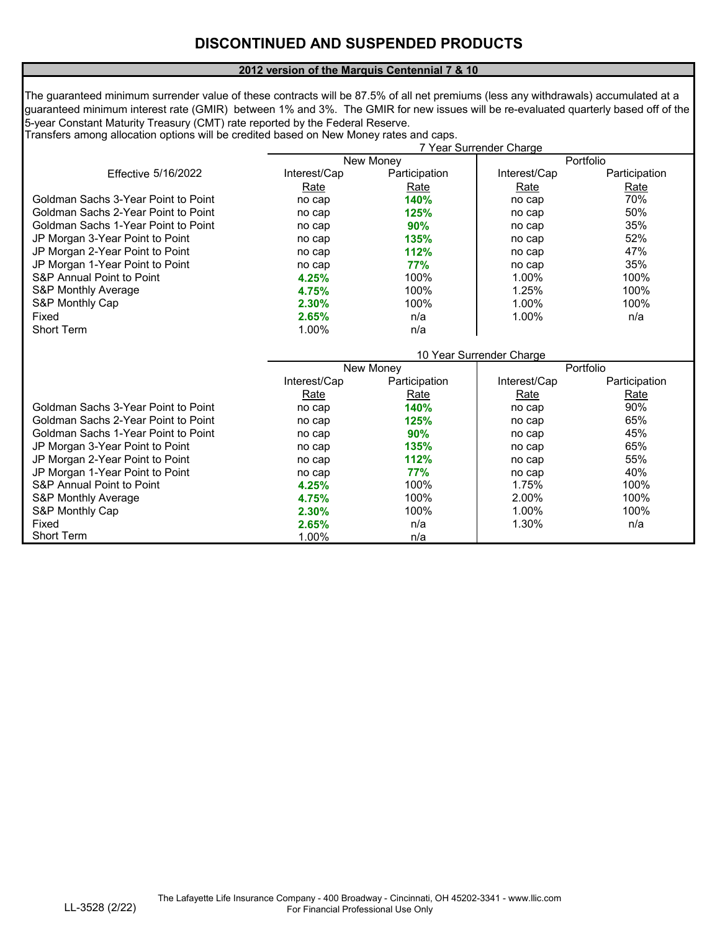### **DISCONTINUED AND SUSPENDED PRODUCTS**

#### **2012 version of the Marquis Centennial 7 & 10**

The guaranteed minimum surrender value of these contracts will be 87.5% of all net premiums (less any withdrawals) accumulated at a guaranteed minimum interest rate (GMIR) between 1% and 3%. The GMIR for new issues will be re-evaluated quarterly based off of the 5-year Constant Maturity Treasury (CMT) rate reported by the Federal Reserve.

Transfers among allocation options will be credited based on New Money rates and caps.

|                                      |                |               | 7 Year Surrender Charge  |               |
|--------------------------------------|----------------|---------------|--------------------------|---------------|
|                                      |                | New Money     |                          | Portfolio     |
| <b>Effective 5/16/2022</b>           | Interest/Cap   | Participation | Interest/Cap             | Participation |
|                                      | Rate           | Rate          | Rate                     | Rate          |
| Goldman Sachs 3-Year Point to Point  | no cap         | 140%          | no cap                   | 70%           |
| Goldman Sachs 2-Year Point to Point  | no cap         | 125%          | no cap                   | 50%           |
| Goldman Sachs 1-Year Point to Point  | no cap         | 90%           | no cap                   | 35%           |
| JP Morgan 3-Year Point to Point      | no cap         | 135%          | no cap                   | 52%           |
| JP Morgan 2-Year Point to Point      | no cap         | 112%          | no cap                   | 47%           |
| JP Morgan 1-Year Point to Point      | no cap         | 77%           | no cap                   | 35%           |
| <b>S&amp;P Annual Point to Point</b> | 4.25%          | 100%          | 1.00%                    | 100%          |
| <b>S&amp;P Monthly Average</b>       | 4.75%          | 100%          | 1.25%                    | 100%          |
| S&P Monthly Cap                      | 2.30%          | 100%          | 1.00%                    | 100%          |
| Fixed                                | 2.65%          | n/a           | 1.00%                    | n/a           |
| <b>Short Term</b>                    | 1.00%          | n/a           |                          |               |
|                                      |                |               |                          |               |
|                                      |                |               | 10 Year Surrender Charge |               |
|                                      | New Money      |               |                          | Portfolio     |
|                                      | Interest/Cap   | Participation | Interest/Cap             | Participation |
|                                      | <b>Rate</b>    | <u>Rate</u>   | <b>Rate</b>              | <u>Rate</u>   |
| Goldman Sachs 3-Year Point to Point  | no cap         | 140%          | no cap                   | 90%           |
| Goldman Sachs 2-Year Point to Point  | no cap         | 125%          | no cap                   | 65%           |
| Goldman Sachs 1-Year Point to Point  |                |               |                          |               |
|                                      | no cap         | 90%           | no cap                   | 45%           |
| JP Morgan 3-Year Point to Point      | no cap         | 135%          | no cap                   | 65%           |
| JP Morgan 2-Year Point to Point      | no cap         | 112%          | no cap                   | 55%           |
| JP Morgan 1-Year Point to Point      | no cap         | 77%           | no cap                   | 40%           |
| <b>S&amp;P Annual Point to Point</b> | 4.25%          | 100%          | 1.75%                    | 100%          |
| <b>S&amp;P Monthly Average</b>       | 4.75%          | 100%          | 2.00%                    | 100%          |
| S&P Monthly Cap                      | 2.30%          | 100%          | 1.00%                    | 100%          |
| Fixed<br><b>Short Term</b>           | 2.65%<br>1.00% | n/a           | 1.30%                    | n/a           |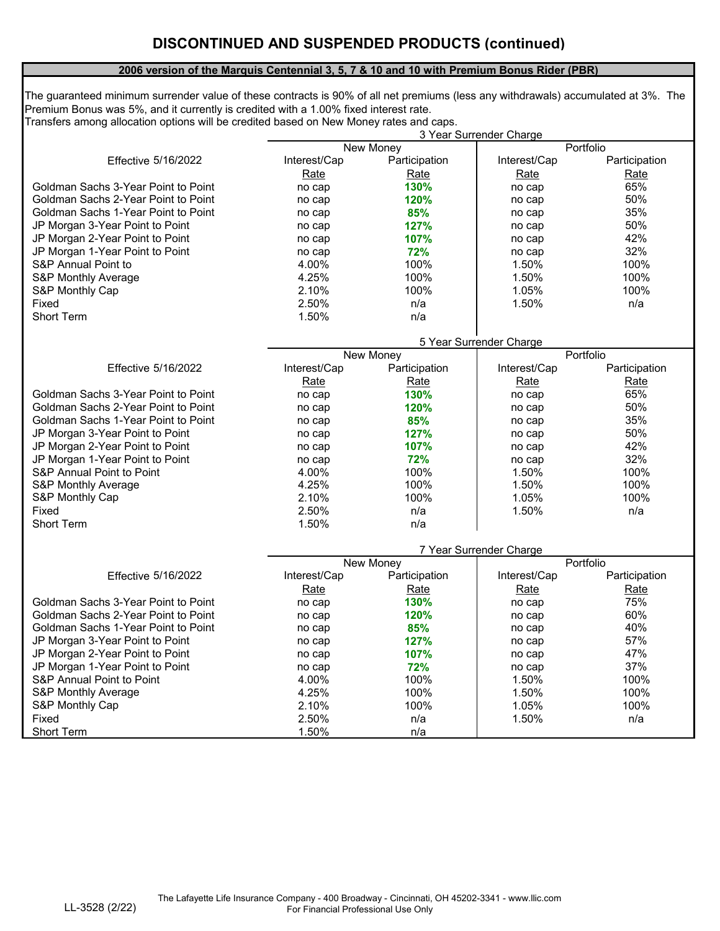#### **2006 version of the Marquis Centennial 3, 5, 7 & 10 and 10 with Premium Bonus Rider (PBR)**

Transfers among allocation options will be credited based on New Money rates and caps. The guaranteed minimum surrender value of these contracts is 90% of all net premiums (less any withdrawals) accumulated at 3%. The Premium Bonus was 5%, and it currently is credited with a 1.00% fixed interest rate.

| Portfolio<br>New Money<br><b>Effective 5/16/2022</b><br>Interest/Cap<br>Participation<br>Interest/Cap<br>Participation<br>Rate<br><b>Rate</b><br><b>Rate</b><br><b>Rate</b><br>65%<br>Goldman Sachs 3-Year Point to Point<br>130%<br>no cap<br>no cap<br>50%<br>Goldman Sachs 2-Year Point to Point<br>120%<br>no cap<br>no cap<br>35%<br><b>Goldman Sachs 1-Year Point to Point</b><br>85%<br>no cap<br>no cap<br>50%<br>JP Morgan 3-Year Point to Point<br>127%<br>no cap<br>no cap<br>42%<br>JP Morgan 2-Year Point to Point<br>107%<br>no cap<br>no cap<br>32%<br>JP Morgan 1-Year Point to Point<br>72%<br>no cap<br>no cap<br><b>S&amp;P Annual Point to</b><br>100%<br>1.50%<br>100%<br>4.00%<br>4.25%<br>100%<br>100%<br>1.50%<br><b>S&amp;P Monthly Average</b><br>2.10%<br>100%<br>1.05%<br>100%<br>S&P Monthly Cap<br>2.50%<br>1.50%<br>Fixed<br>n/a<br>n/a<br><b>Short Term</b><br>1.50%<br>n/a<br>5 Year Surrender Charge<br>Portfolio<br>New Money<br>Interest/Cap<br>Participation<br>Interest/Cap<br>Participation<br><b>Effective 5/16/2022</b><br>Rate<br>Rate<br><b>Rate</b><br><b>Rate</b><br>65%<br>Goldman Sachs 3-Year Point to Point<br>130%<br>no cap<br>no cap<br>50%<br>Goldman Sachs 2-Year Point to Point<br>120%<br>no cap<br>no cap<br>35%<br><b>Goldman Sachs 1-Year Point to Point</b><br>85%<br>no cap<br>no cap<br>50%<br>JP Morgan 3-Year Point to Point<br>127%<br>no cap<br>no cap<br>42%<br>JP Morgan 2-Year Point to Point<br>107%<br>no cap<br>no cap<br>JP Morgan 1-Year Point to Point<br>32%<br>72%<br>no cap<br>no cap<br><b>S&amp;P Annual Point to Point</b><br>4.00%<br>100%<br>1.50%<br>100%<br><b>S&amp;P Monthly Average</b><br>4.25%<br>100%<br>1.50%<br>100%<br>100%<br>S&P Monthly Cap<br>2.10%<br>1.05%<br>100%<br>1.50%<br>2.50%<br>Fixed<br>n/a<br>n/a<br>1.50%<br><b>Short Term</b><br>n/a<br>7 Year Surrender Charge<br>Portfolio<br>New Money<br>Interest/Cap<br>Participation<br>Interest/Cap<br><b>Effective 5/16/2022</b><br>Participation<br>Rate<br><b>Rate</b><br><b>Rate</b><br><b>Rate</b><br>75%<br>Goldman Sachs 3-Year Point to Point<br>130%<br>no cap<br>no cap<br>60%<br>Goldman Sachs 2-Year Point to Point<br>120%<br>no cap<br>no cap<br>40%<br>Goldman Sachs 1-Year Point to Point<br>85%<br>no cap<br>no cap<br>57%<br>JP Morgan 3-Year Point to Point<br>127%<br>no cap<br>no cap<br>JP Morgan 2-Year Point to Point<br>47%<br>107%<br>no cap<br>no cap<br>37%<br>JP Morgan 1-Year Point to Point<br>72%<br>no cap<br>no cap<br><b>S&amp;P Annual Point to Point</b><br>4.00%<br>100%<br>1.50%<br>100%<br><b>S&amp;P Monthly Average</b><br>100%<br>100%<br>4.25%<br>1.50%<br>2.10%<br>100%<br>1.05%<br>100%<br>S&P Monthly Cap<br>2.50%<br>1.50%<br>Fixed<br>n/a<br>n/a<br>1.50%<br><b>Short Term</b><br>n/a | 3 Year Surrender Charge |  |  |  |  |
|-----------------------------------------------------------------------------------------------------------------------------------------------------------------------------------------------------------------------------------------------------------------------------------------------------------------------------------------------------------------------------------------------------------------------------------------------------------------------------------------------------------------------------------------------------------------------------------------------------------------------------------------------------------------------------------------------------------------------------------------------------------------------------------------------------------------------------------------------------------------------------------------------------------------------------------------------------------------------------------------------------------------------------------------------------------------------------------------------------------------------------------------------------------------------------------------------------------------------------------------------------------------------------------------------------------------------------------------------------------------------------------------------------------------------------------------------------------------------------------------------------------------------------------------------------------------------------------------------------------------------------------------------------------------------------------------------------------------------------------------------------------------------------------------------------------------------------------------------------------------------------------------------------------------------------------------------------------------------------------------------------------------------------------------------------------------------------------------------------------------------------------------------------------------------------------------------------------------------------------------------------------------------------------------------------------------------------------------------------------------------------------------------------------------------------------------------------------------------------------------------------------------------------------------------------------------------------------------------------------------------------------------------------------------------------------------------------------------------------------------------------------------------------------------------|-------------------------|--|--|--|--|
|                                                                                                                                                                                                                                                                                                                                                                                                                                                                                                                                                                                                                                                                                                                                                                                                                                                                                                                                                                                                                                                                                                                                                                                                                                                                                                                                                                                                                                                                                                                                                                                                                                                                                                                                                                                                                                                                                                                                                                                                                                                                                                                                                                                                                                                                                                                                                                                                                                                                                                                                                                                                                                                                                                                                                                                               |                         |  |  |  |  |
|                                                                                                                                                                                                                                                                                                                                                                                                                                                                                                                                                                                                                                                                                                                                                                                                                                                                                                                                                                                                                                                                                                                                                                                                                                                                                                                                                                                                                                                                                                                                                                                                                                                                                                                                                                                                                                                                                                                                                                                                                                                                                                                                                                                                                                                                                                                                                                                                                                                                                                                                                                                                                                                                                                                                                                                               |                         |  |  |  |  |
|                                                                                                                                                                                                                                                                                                                                                                                                                                                                                                                                                                                                                                                                                                                                                                                                                                                                                                                                                                                                                                                                                                                                                                                                                                                                                                                                                                                                                                                                                                                                                                                                                                                                                                                                                                                                                                                                                                                                                                                                                                                                                                                                                                                                                                                                                                                                                                                                                                                                                                                                                                                                                                                                                                                                                                                               |                         |  |  |  |  |
|                                                                                                                                                                                                                                                                                                                                                                                                                                                                                                                                                                                                                                                                                                                                                                                                                                                                                                                                                                                                                                                                                                                                                                                                                                                                                                                                                                                                                                                                                                                                                                                                                                                                                                                                                                                                                                                                                                                                                                                                                                                                                                                                                                                                                                                                                                                                                                                                                                                                                                                                                                                                                                                                                                                                                                                               |                         |  |  |  |  |
|                                                                                                                                                                                                                                                                                                                                                                                                                                                                                                                                                                                                                                                                                                                                                                                                                                                                                                                                                                                                                                                                                                                                                                                                                                                                                                                                                                                                                                                                                                                                                                                                                                                                                                                                                                                                                                                                                                                                                                                                                                                                                                                                                                                                                                                                                                                                                                                                                                                                                                                                                                                                                                                                                                                                                                                               |                         |  |  |  |  |
|                                                                                                                                                                                                                                                                                                                                                                                                                                                                                                                                                                                                                                                                                                                                                                                                                                                                                                                                                                                                                                                                                                                                                                                                                                                                                                                                                                                                                                                                                                                                                                                                                                                                                                                                                                                                                                                                                                                                                                                                                                                                                                                                                                                                                                                                                                                                                                                                                                                                                                                                                                                                                                                                                                                                                                                               |                         |  |  |  |  |
|                                                                                                                                                                                                                                                                                                                                                                                                                                                                                                                                                                                                                                                                                                                                                                                                                                                                                                                                                                                                                                                                                                                                                                                                                                                                                                                                                                                                                                                                                                                                                                                                                                                                                                                                                                                                                                                                                                                                                                                                                                                                                                                                                                                                                                                                                                                                                                                                                                                                                                                                                                                                                                                                                                                                                                                               |                         |  |  |  |  |
|                                                                                                                                                                                                                                                                                                                                                                                                                                                                                                                                                                                                                                                                                                                                                                                                                                                                                                                                                                                                                                                                                                                                                                                                                                                                                                                                                                                                                                                                                                                                                                                                                                                                                                                                                                                                                                                                                                                                                                                                                                                                                                                                                                                                                                                                                                                                                                                                                                                                                                                                                                                                                                                                                                                                                                                               |                         |  |  |  |  |
|                                                                                                                                                                                                                                                                                                                                                                                                                                                                                                                                                                                                                                                                                                                                                                                                                                                                                                                                                                                                                                                                                                                                                                                                                                                                                                                                                                                                                                                                                                                                                                                                                                                                                                                                                                                                                                                                                                                                                                                                                                                                                                                                                                                                                                                                                                                                                                                                                                                                                                                                                                                                                                                                                                                                                                                               |                         |  |  |  |  |
|                                                                                                                                                                                                                                                                                                                                                                                                                                                                                                                                                                                                                                                                                                                                                                                                                                                                                                                                                                                                                                                                                                                                                                                                                                                                                                                                                                                                                                                                                                                                                                                                                                                                                                                                                                                                                                                                                                                                                                                                                                                                                                                                                                                                                                                                                                                                                                                                                                                                                                                                                                                                                                                                                                                                                                                               |                         |  |  |  |  |
|                                                                                                                                                                                                                                                                                                                                                                                                                                                                                                                                                                                                                                                                                                                                                                                                                                                                                                                                                                                                                                                                                                                                                                                                                                                                                                                                                                                                                                                                                                                                                                                                                                                                                                                                                                                                                                                                                                                                                                                                                                                                                                                                                                                                                                                                                                                                                                                                                                                                                                                                                                                                                                                                                                                                                                                               |                         |  |  |  |  |
|                                                                                                                                                                                                                                                                                                                                                                                                                                                                                                                                                                                                                                                                                                                                                                                                                                                                                                                                                                                                                                                                                                                                                                                                                                                                                                                                                                                                                                                                                                                                                                                                                                                                                                                                                                                                                                                                                                                                                                                                                                                                                                                                                                                                                                                                                                                                                                                                                                                                                                                                                                                                                                                                                                                                                                                               |                         |  |  |  |  |
|                                                                                                                                                                                                                                                                                                                                                                                                                                                                                                                                                                                                                                                                                                                                                                                                                                                                                                                                                                                                                                                                                                                                                                                                                                                                                                                                                                                                                                                                                                                                                                                                                                                                                                                                                                                                                                                                                                                                                                                                                                                                                                                                                                                                                                                                                                                                                                                                                                                                                                                                                                                                                                                                                                                                                                                               |                         |  |  |  |  |
|                                                                                                                                                                                                                                                                                                                                                                                                                                                                                                                                                                                                                                                                                                                                                                                                                                                                                                                                                                                                                                                                                                                                                                                                                                                                                                                                                                                                                                                                                                                                                                                                                                                                                                                                                                                                                                                                                                                                                                                                                                                                                                                                                                                                                                                                                                                                                                                                                                                                                                                                                                                                                                                                                                                                                                                               |                         |  |  |  |  |
|                                                                                                                                                                                                                                                                                                                                                                                                                                                                                                                                                                                                                                                                                                                                                                                                                                                                                                                                                                                                                                                                                                                                                                                                                                                                                                                                                                                                                                                                                                                                                                                                                                                                                                                                                                                                                                                                                                                                                                                                                                                                                                                                                                                                                                                                                                                                                                                                                                                                                                                                                                                                                                                                                                                                                                                               |                         |  |  |  |  |
|                                                                                                                                                                                                                                                                                                                                                                                                                                                                                                                                                                                                                                                                                                                                                                                                                                                                                                                                                                                                                                                                                                                                                                                                                                                                                                                                                                                                                                                                                                                                                                                                                                                                                                                                                                                                                                                                                                                                                                                                                                                                                                                                                                                                                                                                                                                                                                                                                                                                                                                                                                                                                                                                                                                                                                                               |                         |  |  |  |  |
|                                                                                                                                                                                                                                                                                                                                                                                                                                                                                                                                                                                                                                                                                                                                                                                                                                                                                                                                                                                                                                                                                                                                                                                                                                                                                                                                                                                                                                                                                                                                                                                                                                                                                                                                                                                                                                                                                                                                                                                                                                                                                                                                                                                                                                                                                                                                                                                                                                                                                                                                                                                                                                                                                                                                                                                               |                         |  |  |  |  |
|                                                                                                                                                                                                                                                                                                                                                                                                                                                                                                                                                                                                                                                                                                                                                                                                                                                                                                                                                                                                                                                                                                                                                                                                                                                                                                                                                                                                                                                                                                                                                                                                                                                                                                                                                                                                                                                                                                                                                                                                                                                                                                                                                                                                                                                                                                                                                                                                                                                                                                                                                                                                                                                                                                                                                                                               |                         |  |  |  |  |
|                                                                                                                                                                                                                                                                                                                                                                                                                                                                                                                                                                                                                                                                                                                                                                                                                                                                                                                                                                                                                                                                                                                                                                                                                                                                                                                                                                                                                                                                                                                                                                                                                                                                                                                                                                                                                                                                                                                                                                                                                                                                                                                                                                                                                                                                                                                                                                                                                                                                                                                                                                                                                                                                                                                                                                                               |                         |  |  |  |  |
|                                                                                                                                                                                                                                                                                                                                                                                                                                                                                                                                                                                                                                                                                                                                                                                                                                                                                                                                                                                                                                                                                                                                                                                                                                                                                                                                                                                                                                                                                                                                                                                                                                                                                                                                                                                                                                                                                                                                                                                                                                                                                                                                                                                                                                                                                                                                                                                                                                                                                                                                                                                                                                                                                                                                                                                               |                         |  |  |  |  |
|                                                                                                                                                                                                                                                                                                                                                                                                                                                                                                                                                                                                                                                                                                                                                                                                                                                                                                                                                                                                                                                                                                                                                                                                                                                                                                                                                                                                                                                                                                                                                                                                                                                                                                                                                                                                                                                                                                                                                                                                                                                                                                                                                                                                                                                                                                                                                                                                                                                                                                                                                                                                                                                                                                                                                                                               |                         |  |  |  |  |
|                                                                                                                                                                                                                                                                                                                                                                                                                                                                                                                                                                                                                                                                                                                                                                                                                                                                                                                                                                                                                                                                                                                                                                                                                                                                                                                                                                                                                                                                                                                                                                                                                                                                                                                                                                                                                                                                                                                                                                                                                                                                                                                                                                                                                                                                                                                                                                                                                                                                                                                                                                                                                                                                                                                                                                                               |                         |  |  |  |  |
|                                                                                                                                                                                                                                                                                                                                                                                                                                                                                                                                                                                                                                                                                                                                                                                                                                                                                                                                                                                                                                                                                                                                                                                                                                                                                                                                                                                                                                                                                                                                                                                                                                                                                                                                                                                                                                                                                                                                                                                                                                                                                                                                                                                                                                                                                                                                                                                                                                                                                                                                                                                                                                                                                                                                                                                               |                         |  |  |  |  |
|                                                                                                                                                                                                                                                                                                                                                                                                                                                                                                                                                                                                                                                                                                                                                                                                                                                                                                                                                                                                                                                                                                                                                                                                                                                                                                                                                                                                                                                                                                                                                                                                                                                                                                                                                                                                                                                                                                                                                                                                                                                                                                                                                                                                                                                                                                                                                                                                                                                                                                                                                                                                                                                                                                                                                                                               |                         |  |  |  |  |
|                                                                                                                                                                                                                                                                                                                                                                                                                                                                                                                                                                                                                                                                                                                                                                                                                                                                                                                                                                                                                                                                                                                                                                                                                                                                                                                                                                                                                                                                                                                                                                                                                                                                                                                                                                                                                                                                                                                                                                                                                                                                                                                                                                                                                                                                                                                                                                                                                                                                                                                                                                                                                                                                                                                                                                                               |                         |  |  |  |  |
|                                                                                                                                                                                                                                                                                                                                                                                                                                                                                                                                                                                                                                                                                                                                                                                                                                                                                                                                                                                                                                                                                                                                                                                                                                                                                                                                                                                                                                                                                                                                                                                                                                                                                                                                                                                                                                                                                                                                                                                                                                                                                                                                                                                                                                                                                                                                                                                                                                                                                                                                                                                                                                                                                                                                                                                               |                         |  |  |  |  |
|                                                                                                                                                                                                                                                                                                                                                                                                                                                                                                                                                                                                                                                                                                                                                                                                                                                                                                                                                                                                                                                                                                                                                                                                                                                                                                                                                                                                                                                                                                                                                                                                                                                                                                                                                                                                                                                                                                                                                                                                                                                                                                                                                                                                                                                                                                                                                                                                                                                                                                                                                                                                                                                                                                                                                                                               |                         |  |  |  |  |
|                                                                                                                                                                                                                                                                                                                                                                                                                                                                                                                                                                                                                                                                                                                                                                                                                                                                                                                                                                                                                                                                                                                                                                                                                                                                                                                                                                                                                                                                                                                                                                                                                                                                                                                                                                                                                                                                                                                                                                                                                                                                                                                                                                                                                                                                                                                                                                                                                                                                                                                                                                                                                                                                                                                                                                                               |                         |  |  |  |  |
|                                                                                                                                                                                                                                                                                                                                                                                                                                                                                                                                                                                                                                                                                                                                                                                                                                                                                                                                                                                                                                                                                                                                                                                                                                                                                                                                                                                                                                                                                                                                                                                                                                                                                                                                                                                                                                                                                                                                                                                                                                                                                                                                                                                                                                                                                                                                                                                                                                                                                                                                                                                                                                                                                                                                                                                               |                         |  |  |  |  |
|                                                                                                                                                                                                                                                                                                                                                                                                                                                                                                                                                                                                                                                                                                                                                                                                                                                                                                                                                                                                                                                                                                                                                                                                                                                                                                                                                                                                                                                                                                                                                                                                                                                                                                                                                                                                                                                                                                                                                                                                                                                                                                                                                                                                                                                                                                                                                                                                                                                                                                                                                                                                                                                                                                                                                                                               |                         |  |  |  |  |
|                                                                                                                                                                                                                                                                                                                                                                                                                                                                                                                                                                                                                                                                                                                                                                                                                                                                                                                                                                                                                                                                                                                                                                                                                                                                                                                                                                                                                                                                                                                                                                                                                                                                                                                                                                                                                                                                                                                                                                                                                                                                                                                                                                                                                                                                                                                                                                                                                                                                                                                                                                                                                                                                                                                                                                                               |                         |  |  |  |  |
|                                                                                                                                                                                                                                                                                                                                                                                                                                                                                                                                                                                                                                                                                                                                                                                                                                                                                                                                                                                                                                                                                                                                                                                                                                                                                                                                                                                                                                                                                                                                                                                                                                                                                                                                                                                                                                                                                                                                                                                                                                                                                                                                                                                                                                                                                                                                                                                                                                                                                                                                                                                                                                                                                                                                                                                               |                         |  |  |  |  |
|                                                                                                                                                                                                                                                                                                                                                                                                                                                                                                                                                                                                                                                                                                                                                                                                                                                                                                                                                                                                                                                                                                                                                                                                                                                                                                                                                                                                                                                                                                                                                                                                                                                                                                                                                                                                                                                                                                                                                                                                                                                                                                                                                                                                                                                                                                                                                                                                                                                                                                                                                                                                                                                                                                                                                                                               |                         |  |  |  |  |
|                                                                                                                                                                                                                                                                                                                                                                                                                                                                                                                                                                                                                                                                                                                                                                                                                                                                                                                                                                                                                                                                                                                                                                                                                                                                                                                                                                                                                                                                                                                                                                                                                                                                                                                                                                                                                                                                                                                                                                                                                                                                                                                                                                                                                                                                                                                                                                                                                                                                                                                                                                                                                                                                                                                                                                                               |                         |  |  |  |  |
|                                                                                                                                                                                                                                                                                                                                                                                                                                                                                                                                                                                                                                                                                                                                                                                                                                                                                                                                                                                                                                                                                                                                                                                                                                                                                                                                                                                                                                                                                                                                                                                                                                                                                                                                                                                                                                                                                                                                                                                                                                                                                                                                                                                                                                                                                                                                                                                                                                                                                                                                                                                                                                                                                                                                                                                               |                         |  |  |  |  |
|                                                                                                                                                                                                                                                                                                                                                                                                                                                                                                                                                                                                                                                                                                                                                                                                                                                                                                                                                                                                                                                                                                                                                                                                                                                                                                                                                                                                                                                                                                                                                                                                                                                                                                                                                                                                                                                                                                                                                                                                                                                                                                                                                                                                                                                                                                                                                                                                                                                                                                                                                                                                                                                                                                                                                                                               |                         |  |  |  |  |
|                                                                                                                                                                                                                                                                                                                                                                                                                                                                                                                                                                                                                                                                                                                                                                                                                                                                                                                                                                                                                                                                                                                                                                                                                                                                                                                                                                                                                                                                                                                                                                                                                                                                                                                                                                                                                                                                                                                                                                                                                                                                                                                                                                                                                                                                                                                                                                                                                                                                                                                                                                                                                                                                                                                                                                                               |                         |  |  |  |  |
|                                                                                                                                                                                                                                                                                                                                                                                                                                                                                                                                                                                                                                                                                                                                                                                                                                                                                                                                                                                                                                                                                                                                                                                                                                                                                                                                                                                                                                                                                                                                                                                                                                                                                                                                                                                                                                                                                                                                                                                                                                                                                                                                                                                                                                                                                                                                                                                                                                                                                                                                                                                                                                                                                                                                                                                               |                         |  |  |  |  |
|                                                                                                                                                                                                                                                                                                                                                                                                                                                                                                                                                                                                                                                                                                                                                                                                                                                                                                                                                                                                                                                                                                                                                                                                                                                                                                                                                                                                                                                                                                                                                                                                                                                                                                                                                                                                                                                                                                                                                                                                                                                                                                                                                                                                                                                                                                                                                                                                                                                                                                                                                                                                                                                                                                                                                                                               |                         |  |  |  |  |
|                                                                                                                                                                                                                                                                                                                                                                                                                                                                                                                                                                                                                                                                                                                                                                                                                                                                                                                                                                                                                                                                                                                                                                                                                                                                                                                                                                                                                                                                                                                                                                                                                                                                                                                                                                                                                                                                                                                                                                                                                                                                                                                                                                                                                                                                                                                                                                                                                                                                                                                                                                                                                                                                                                                                                                                               |                         |  |  |  |  |
|                                                                                                                                                                                                                                                                                                                                                                                                                                                                                                                                                                                                                                                                                                                                                                                                                                                                                                                                                                                                                                                                                                                                                                                                                                                                                                                                                                                                                                                                                                                                                                                                                                                                                                                                                                                                                                                                                                                                                                                                                                                                                                                                                                                                                                                                                                                                                                                                                                                                                                                                                                                                                                                                                                                                                                                               |                         |  |  |  |  |
|                                                                                                                                                                                                                                                                                                                                                                                                                                                                                                                                                                                                                                                                                                                                                                                                                                                                                                                                                                                                                                                                                                                                                                                                                                                                                                                                                                                                                                                                                                                                                                                                                                                                                                                                                                                                                                                                                                                                                                                                                                                                                                                                                                                                                                                                                                                                                                                                                                                                                                                                                                                                                                                                                                                                                                                               |                         |  |  |  |  |
|                                                                                                                                                                                                                                                                                                                                                                                                                                                                                                                                                                                                                                                                                                                                                                                                                                                                                                                                                                                                                                                                                                                                                                                                                                                                                                                                                                                                                                                                                                                                                                                                                                                                                                                                                                                                                                                                                                                                                                                                                                                                                                                                                                                                                                                                                                                                                                                                                                                                                                                                                                                                                                                                                                                                                                                               |                         |  |  |  |  |
|                                                                                                                                                                                                                                                                                                                                                                                                                                                                                                                                                                                                                                                                                                                                                                                                                                                                                                                                                                                                                                                                                                                                                                                                                                                                                                                                                                                                                                                                                                                                                                                                                                                                                                                                                                                                                                                                                                                                                                                                                                                                                                                                                                                                                                                                                                                                                                                                                                                                                                                                                                                                                                                                                                                                                                                               |                         |  |  |  |  |
|                                                                                                                                                                                                                                                                                                                                                                                                                                                                                                                                                                                                                                                                                                                                                                                                                                                                                                                                                                                                                                                                                                                                                                                                                                                                                                                                                                                                                                                                                                                                                                                                                                                                                                                                                                                                                                                                                                                                                                                                                                                                                                                                                                                                                                                                                                                                                                                                                                                                                                                                                                                                                                                                                                                                                                                               |                         |  |  |  |  |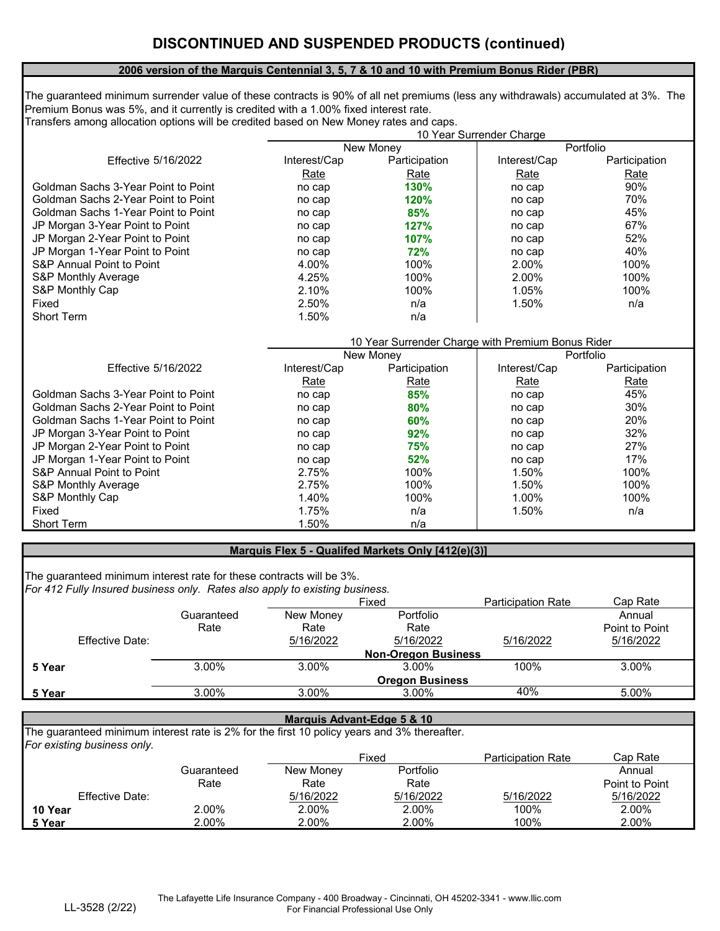#### **2006 version of the Marquis Centennial 3, 5, 7 & 10 and 10 with Premium Bonus Rider (PBR)**

The guaranteed minimum surrender value of these contracts is 90% of all net premiums (less any withdrawals) accumulated at 3%. The Premium Bonus was 5%, and it currently is credited with a 1.00% fixed interest rate. Transfers among allocation options will be credited based on New Money rates and caps.

|                                            | 10 Year Surrender Charge |                                                   |              |               |  |
|--------------------------------------------|--------------------------|---------------------------------------------------|--------------|---------------|--|
|                                            |                          | New Money                                         |              | Portfolio     |  |
| <b>Effective 5/16/2022</b>                 | Interest/Cap             | Participation                                     | Interest/Cap | Participation |  |
|                                            | Rate                     | Rate                                              | Rate         | <b>Rate</b>   |  |
| Goldman Sachs 3-Year Point to Point        | no cap                   | 130%                                              | no cap       | 90%           |  |
| <b>Goldman Sachs 2-Year Point to Point</b> | no cap                   | 120%                                              | no cap       | 70%           |  |
| <b>Goldman Sachs 1-Year Point to Point</b> | no cap                   | 85%                                               | no cap       | 45%           |  |
| JP Morgan 3-Year Point to Point            | no cap                   | 127%                                              | no cap       | 67%           |  |
| JP Morgan 2-Year Point to Point            | no cap                   | 107%                                              | no cap       | 52%           |  |
| JP Morgan 1-Year Point to Point            | no cap                   | 72%                                               | no cap       | 40%           |  |
| <b>S&amp;P Annual Point to Point</b>       | 4.00%                    | 100%                                              | 2.00%        | 100%          |  |
| <b>S&amp;P Monthly Average</b>             | 4.25%                    | 100%                                              | 2.00%        | 100%          |  |
| S&P Monthly Cap                            | 2.10%                    | 100%                                              | 1.05%        | 100%          |  |
| Fixed                                      | 2.50%                    | n/a                                               | 1.50%        | n/a           |  |
| <b>Short Term</b>                          | 1.50%                    | n/a                                               |              |               |  |
|                                            |                          |                                                   |              |               |  |
|                                            |                          | 10 Year Surrender Charge with Premium Bonus Rider |              |               |  |
|                                            |                          | New Money                                         |              | Portfolio     |  |
| <b>Effective 5/16/2022</b>                 | Interest/Cap             | Participation                                     | Interest/Cap | Participation |  |
|                                            | Rate                     | Rate                                              | Rate         | Rate          |  |
| Goldman Sachs 3-Year Point to Point        | no cap                   | 85%                                               | no cap       | 45%           |  |
| Goldman Sachs 2-Year Point to Point        | no cap                   | 80%                                               | no cap       | 30%           |  |
| <b>Goldman Sachs 1-Year Point to Point</b> | no cap                   | 60%                                               | no cap       | 20%           |  |
| JP Morgan 3-Year Point to Point            | no cap                   | 92%                                               | no cap       | 32%           |  |
| JP Morgan 2-Year Point to Point            | no cap                   | 75%                                               | no cap       | 27%           |  |
| JP Morgan 1-Year Point to Point            | no cap                   | 52%                                               | no cap       | 17%           |  |
| <b>S&amp;P Annual Point to Point</b>       | 2.75%                    | 100%                                              | 1.50%        | 100%          |  |
| <b>S&amp;P Monthly Average</b>             | 2.75%                    | 100%                                              | 1.50%        | 100%          |  |
| S&P Monthly Cap                            | 1.40%                    | 100%                                              | 1.00%        | 100%          |  |
| Fixed                                      | 1.75%                    | n/a                                               | 1.50%        | n/a           |  |
| <b>Short Term</b>                          | 1.50%                    | n/a                                               |              |               |  |
|                                            |                          |                                                   |              |               |  |

#### **Marquis Flex 5 - Qualifed Markets Only [412(e)(3)]**

*For 412 Fully Insured business only. Rates also apply to existing business.* The guaranteed minimum interest rate for these contracts will be 3%.

|        |                        |            |                            | Fixed                  | <b>Participation Rate</b> | Cap Rate       |
|--------|------------------------|------------|----------------------------|------------------------|---------------------------|----------------|
|        |                        | Guaranteed | New Money                  | Portfolio              |                           | Annual         |
|        |                        | Rate       | Rate                       | Rate                   |                           | Point to Point |
|        | <b>Effective Date:</b> |            | 5/16/2022                  | 5/16/2022              | 5/16/2022                 | 5/16/2022      |
|        |                        |            | <b>Non-Oregon Business</b> |                        |                           |                |
| 5 Year |                        | 3.00%      | 3.00%                      | 3.00%                  | 100%                      | 3.00%          |
|        |                        |            |                            | <b>Oregon Business</b> |                           |                |
| 5 Year |                        | 3.00%      | 3.00%                      | 3.00%                  | 40%                       | 5.00%          |

#### **Marquis Advant-Edge 5 & 10**

*For existing business only.* The guaranteed minimum interest rate is 2% for the first 10 policy years and 3% thereafter.

|                        |            | Fixed            |           | <b>Participation Rate</b> | Cap Rate       |
|------------------------|------------|------------------|-----------|---------------------------|----------------|
|                        | Guaranteed | <b>New Money</b> | Portfolio |                           | Annual         |
|                        | Rate       | Rate             | Rate      |                           | Point to Point |
| <b>Effective Date:</b> |            | 5/16/2022        | 5/16/2022 | 5/16/2022                 | 5/16/2022      |
| 10 Year                | 2.00%      | 2.00%            | 2.00%     | 100%                      | 2.00%          |
| 5 Year                 | $2.00\%$   | 2.00%            | 2.00%     | 100%                      | 2.00%          |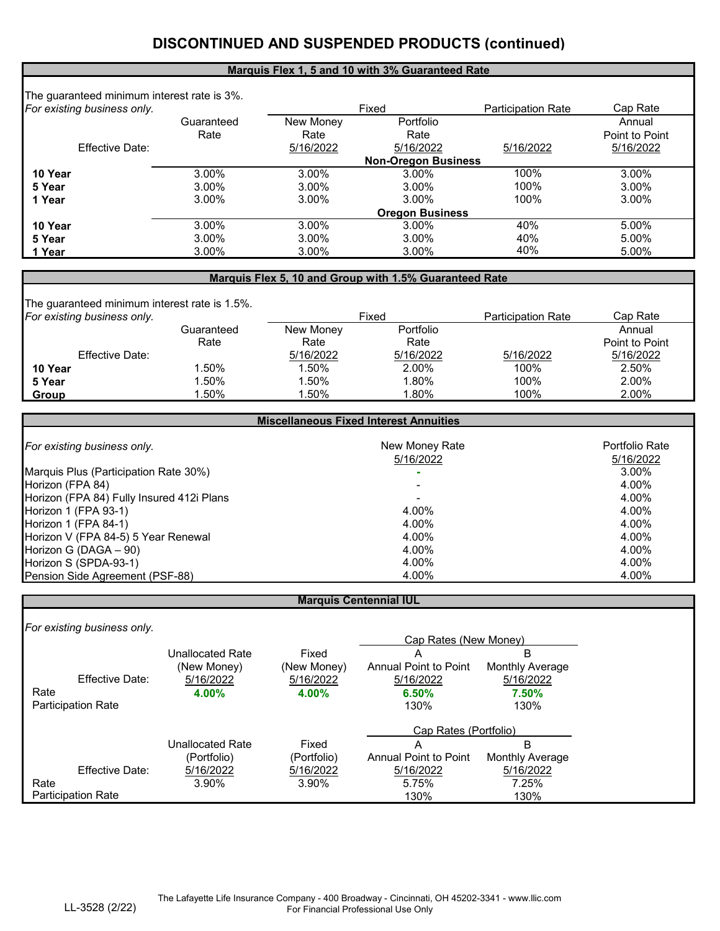# **DISCONTINUED AND SUSPENDED PRODUCTS (continued)**

#### **Marquis Flex 1, 5 and 10 with 3% Guaranteed Rate**

| The guaranteed minimum interest rate is 3%. |            |                        |                            |           |                |  |
|---------------------------------------------|------------|------------------------|----------------------------|-----------|----------------|--|
| For existing business only.                 |            |                        | Fixed                      |           | Cap Rate       |  |
|                                             | Guaranteed | New Money              | Portfolio                  |           | Annual         |  |
|                                             | Rate       | Rate                   | Rate                       |           | Point to Point |  |
| <b>Effective Date:</b>                      |            | 5/16/2022              | 5/16/2022                  | 5/16/2022 | 5/16/2022      |  |
|                                             |            |                        | <b>Non-Oregon Business</b> |           |                |  |
| 10 Year                                     | 3.00%      | 3.00%                  | 3.00%                      | 100%      | 3.00%          |  |
| 5 Year                                      | 3.00%      | 3.00%                  | 3.00%                      | 100%      | 3.00%          |  |
| 1 Year                                      | 3.00%      | 3.00%                  | 3.00%                      | 100%      | 3.00%          |  |
|                                             |            | <b>Oregon Business</b> |                            |           |                |  |
| 10 Year                                     | 3.00%      | 3.00%                  | 3.00%                      | 40%       | 5.00%          |  |
| 5 Year                                      | 3.00%      | 3.00%                  | 3.00%                      | 40%       | 5.00%          |  |
| 1 Year                                      | 3.00%      | 3.00%                  | 3.00%                      | 40%       | 5.00%          |  |

#### **Marquis Flex 5, 10 and Group with 1.5% Guaranteed Rate**

| The guaranteed minimum interest rate is 1.5%.<br>For existing business only. |            | Fixed     |           | <b>Participation Rate</b> | Cap Rate       |
|------------------------------------------------------------------------------|------------|-----------|-----------|---------------------------|----------------|
|                                                                              | Guaranteed | New Money | Portfolio |                           | Annual         |
|                                                                              | Rate       | Rate      | Rate      |                           | Point to Point |
| <b>Effective Date:</b>                                                       |            | 5/16/2022 | 5/16/2022 | 5/16/2022                 | 5/16/2022      |
| 10 Year                                                                      | .50%       | 1.50%     | 2.00%     | 100%                      | 2.50%          |
| 5 Year                                                                       | $.50\%$    | 1.50%     | 1.80%     | 100%                      | 2.00%          |
| Group                                                                        | .50%       | .50%      | $.80\%$   | 100%                      | 2.00%          |

| <b>Miscellaneous Fixed Interest Annuities</b> |                             |                                    |  |  |
|-----------------------------------------------|-----------------------------|------------------------------------|--|--|
| For existing business only.                   | New Money Rate<br>5/16/2022 | <b>Portfolio Rate</b><br>5/16/2022 |  |  |
| Marquis Plus (Participation Rate 30%)         |                             | 3.00%                              |  |  |
| Horizon (FPA 84)                              |                             | 4.00%                              |  |  |
| Horizon (FPA 84) Fully Insured 412i Plans     |                             | 4.00%                              |  |  |
| Horizon 1 (FPA 93-1)                          | 4.00%                       | 4.00%                              |  |  |
| Horizon 1 (FPA 84-1)                          | 4.00%                       | 4.00%                              |  |  |
| Horizon V (FPA 84-5) 5 Year Renewal           | 4.00%                       | 4.00%                              |  |  |
| Horizon G (DAGA $-90$ )                       | 4.00%                       | 4.00%                              |  |  |
| Horizon S (SPDA-93-1)                         | 4.00%                       | 4.00%                              |  |  |
| Pension Side Agreement (PSF-88)               | 4.00%                       | 4.00%                              |  |  |

#### **Marquis Centennial IUL**

*For existing business only.*

|      |                           |                         |             | Cap Rates (New Money)        |                        |  |
|------|---------------------------|-------------------------|-------------|------------------------------|------------------------|--|
|      |                           | <b>Unallocated Rate</b> | Fixed       | A                            | B                      |  |
|      |                           | (New Money)             | (New Money) | <b>Annual Point to Point</b> | <b>Monthly Average</b> |  |
|      | <b>Effective Date:</b>    | 5/16/2022               | 5/16/2022   | 5/16/2022                    | 5/16/2022              |  |
| Rate |                           | 4.00%                   | 4.00%       | 6.50%                        | 7.50%                  |  |
|      | <b>Participation Rate</b> |                         |             | 130%                         | 130%                   |  |
|      |                           |                         |             | Cap Rates (Portfolio)        |                        |  |
|      |                           | <b>Unallocated Rate</b> | Fixed       | Α                            | B                      |  |
|      |                           | (Portfolio)             | (Portfolio) | <b>Annual Point to Point</b> | <b>Monthly Average</b> |  |
|      | <b>Effective Date:</b>    | 5/16/2022               | 5/16/2022   | 5/16/2022                    | 5/16/2022              |  |
| Rate |                           | 3.90%                   | 3.90%       | 5.75%                        | 7.25%                  |  |
|      | <b>Participation Rate</b> |                         |             | 130%                         | 130%                   |  |